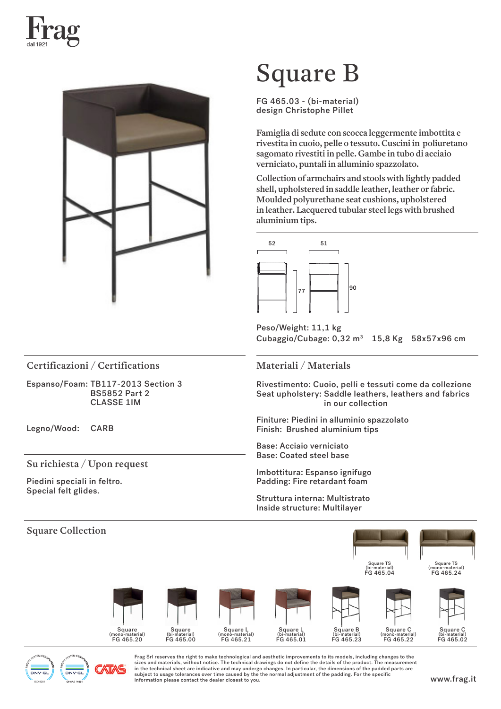



# Square B

FG 465.03 - (bi-material) design Christophe Pillet

Famiglia di sedute con scocca leggermente imbottita e rivestita in cuoio, pelle o tessuto. Cuscini in poliuretano sagomato rivestiti in pelle. Gambe in tubo di acciaio verniciato, puntali in alluminio spazzolato.

Collection of armchairs and stools with lightly padded shell, upholstered in saddle leather, leather or fabric. Moulded polyurethane seat cushions, upholstered in leather. Lacquered tubular steel legs with brushed aluminium tips.



Peso/Weight: 11,1 kg Cubaggio/Cubage:  $0.32 \text{ m}^3$  15,8 Kg 58x57x96 cm

Certificazioni / Certifications Materiali / Materials

Espanso/Foam: TB117-2013 Section 3 BS5852 Part 2 CLASSE 1IM

Legno/Wood: CARB

## Su richiesta / Upon request

Piedini speciali in feltro. Special felt glides.

ISO 9001

Rivestimento: Cuoio, pelli e tessuti come da collezione Seat upholstery: Saddle leathers, leathers and fabrics in our collection

Finiture: Piedini in alluminio spazzolato Finish: Brushed aluminium tips

Base: Acciaio verniciato Base: Coated steel base

Imbottitura: Espanso ignifugo Padding: Fire retardant foam

Struttura interna: Multistrato Inside structure: Multilayer



Frag Srl reserves the right to make technological and aesthetic improvements to its models, including changes to the sizes and materials, without notice. The technical drawings do not define the details of the product. The measurement in the technical sheet are indicative and may undergo changes. In particular, the dimensions of the padded parts are subject to usage tolerances over time caused by the the normal adjustment of the padding. For the specific subject to use to the information please contact the dealer closest to you.<br>Information please contact the dealer closest to you.